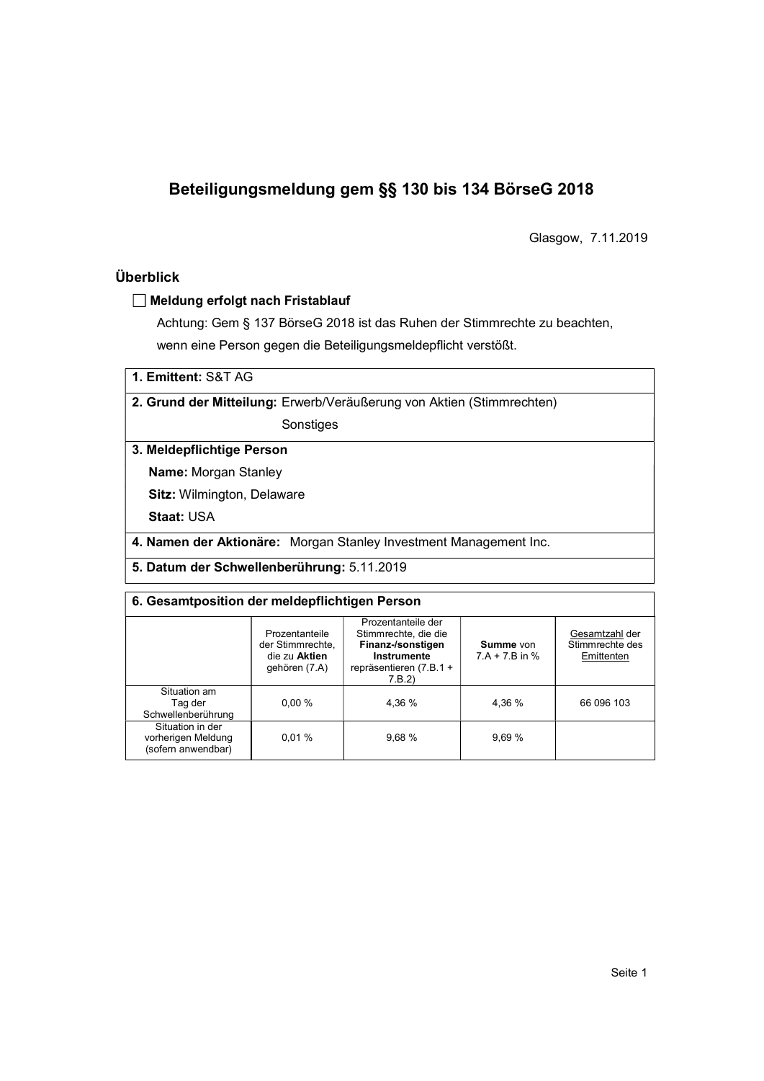# Beteiligungsmeldung gem §§ 130 bis 134 BörseG 2018

Glasgow, 7.11.2019

### Überblick

#### Meldung erfolgt nach Fristablauf

Achtung: Gem § 137 BörseG 2018 ist das Ruhen der Stimmrechte zu beachten, wenn eine Person gegen die Beteiligungsmeldepflicht verstößt.

1. Emittent: S&T AG

2. Grund der Mitteilung: Erwerb/Veräußerung von Aktien (Stimmrechten)

Sonstiges

3. Meldepflichtige Person

Name: Morgan Stanley

Sitz: Wilmington, Delaware

Staat: USA

4. Namen der Aktionäre: Morgan Stanley Investment Management Inc.

5. Datum der Schwellenberührung: 5.11.2019

#### 6. Gesamtposition der meldepflichtigen Person

|                                                              | Prozentanteile<br>der Stimmrechte,<br>die zu Aktien<br>gehören (7.A) | Prozentanteile der<br>Stimmrechte, die die<br>Finanz-/sonstigen<br>Instrumente<br>repräsentieren (7.B.1 +<br>7.B.2 | Summe von<br>$7.A + 7.B$ in % | Gesamtzahl der<br>Stimmrechte des<br>Emittenten |  |
|--------------------------------------------------------------|----------------------------------------------------------------------|--------------------------------------------------------------------------------------------------------------------|-------------------------------|-------------------------------------------------|--|
| Situation am<br>Tag der<br>Schwellenberührung                | $0.00 \%$                                                            | 4.36 %                                                                                                             | 4.36 %                        | 66 096 103                                      |  |
| Situation in der<br>vorherigen Meldung<br>(sofern anwendbar) | 0.01%                                                                | 9,68%                                                                                                              | 9,69 %                        |                                                 |  |
|                                                              |                                                                      |                                                                                                                    |                               |                                                 |  |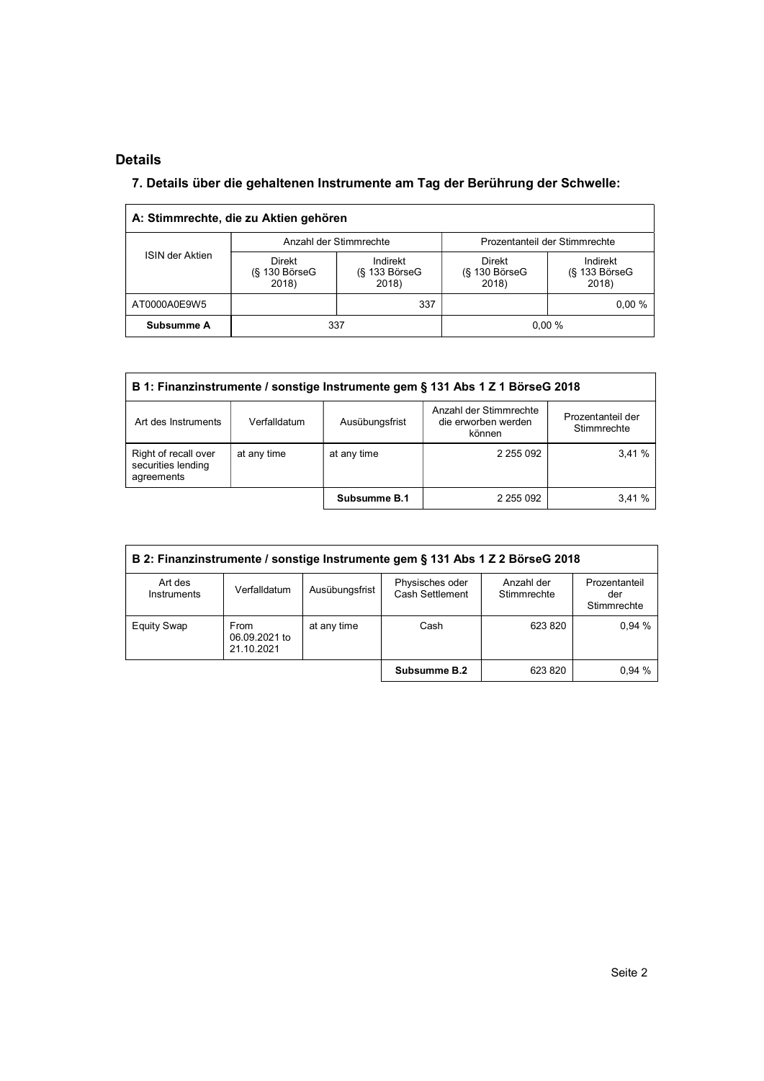### Details

l,

### 7. Details über die gehaltenen Instrumente am Tag der Berührung der Schwelle:

|                 | A: Stimmrechte, die zu Aktien gehören        |                                         |                                       |                                         |  |
|-----------------|----------------------------------------------|-----------------------------------------|---------------------------------------|-----------------------------------------|--|
|                 |                                              | Anzahl der Stimmrechte                  | Prozentanteil der Stimmrechte         |                                         |  |
| ISIN der Aktien | <b>Direkt</b><br>$(S$ 130 Börse $G$<br>2018) | Indirekt<br>$(S$ 133 Börse $G$<br>2018) | Direkt<br>$(S$ 130 Börse $G$<br>2018) | Indirekt<br>$(S$ 133 Börse $G$<br>2018) |  |
| AT0000A0E9W5    |                                              | 337                                     |                                       | $0.00 \%$                               |  |
| Subsumme A      | 337                                          |                                         | 0.00%                                 |                                         |  |

| B 1: Finanzinstrumente / sonstige Instrumente gem § 131 Abs 1 Z 1 BörseG 2018 |              |                |                                                         |                                  |  |  |  |
|-------------------------------------------------------------------------------|--------------|----------------|---------------------------------------------------------|----------------------------------|--|--|--|
| Art des Instruments                                                           | Verfalldatum | Ausübungsfrist | Anzahl der Stimmrechte<br>die erworben werden<br>können | Prozentanteil der<br>Stimmrechte |  |  |  |
| Right of recall over<br>securities lending<br>agreements                      | at any time  | at any time    | 2 255 092                                               | 3.41%                            |  |  |  |
|                                                                               |              | Subsumme B.1   | 2 255 092                                               | 3.41%                            |  |  |  |

| B 2: Finanzinstrumente / sonstige Instrumente gem § 131 Abs 1 Z 2 BörseG 2018 |                                     |                |                                    |                           |                                     |  |  |
|-------------------------------------------------------------------------------|-------------------------------------|----------------|------------------------------------|---------------------------|-------------------------------------|--|--|
| Art des<br>Instruments                                                        | Verfalldatum                        | Ausübungsfrist | Physisches oder<br>Cash Settlement | Anzahl der<br>Stimmrechte | Prozentanteil<br>der<br>Stimmrechte |  |  |
| <b>Equity Swap</b>                                                            | From<br>06.09.2021 to<br>21.10.2021 | at any time    | Cash                               | 623 820                   | 0.94%                               |  |  |
|                                                                               |                                     |                | Subsumme B.2                       | 623 820                   | 0,94%                               |  |  |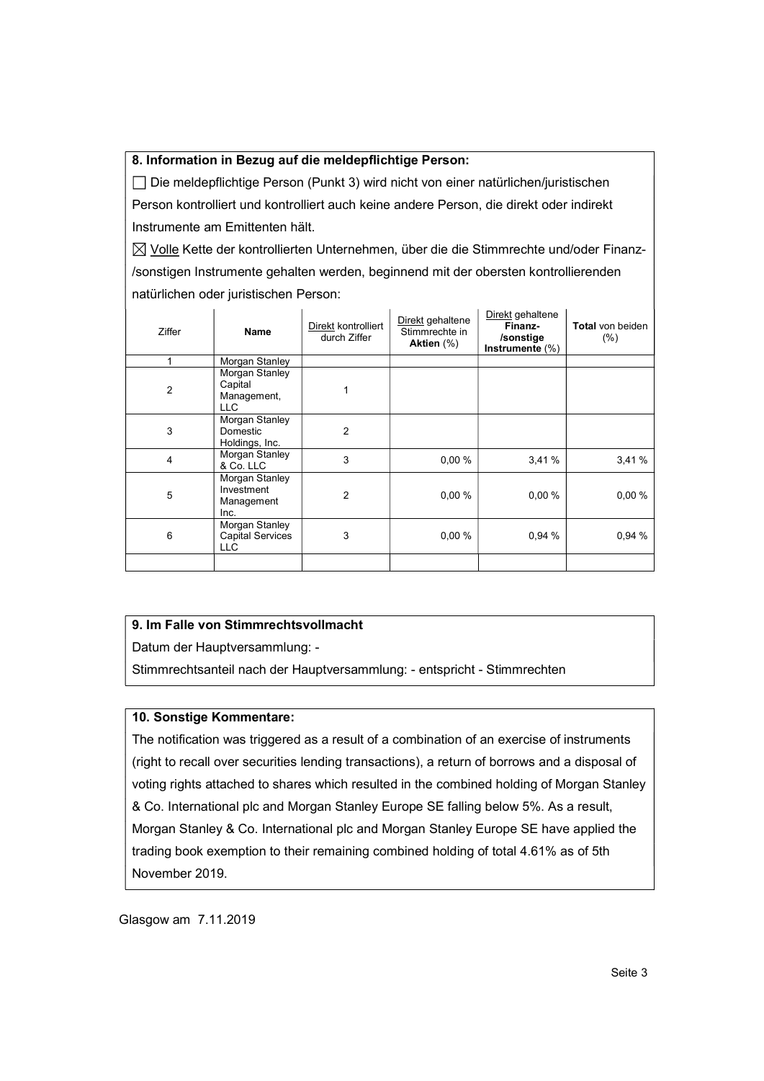#### 8. Information in Bezug auf die meldepflichtige Person:

 Die meldepflichtige Person (Punkt 3) wird nicht von einer natürlichen/juristischen Person kontrolliert und kontrolliert auch keine andere Person, die direkt oder indirekt Instrumente am Emittenten hält.

 $\boxtimes$  Volle Kette der kontrollierten Unternehmen, über die die Stimmrechte und/oder Finanz-/sonstigen Instrumente gehalten werden, beginnend mit der obersten kontrollierenden natürlichen oder juristischen Person:

| Ziffer | Name                                               | Direkt kontrolliert<br>durch Ziffer | Direkt gehaltene<br>Stimmrechte in<br>Aktien $(\%)$ | Direkt gehaltene<br>Finanz-<br>/sonstige<br>Instrumente $(\%)$ | Total von beiden<br>(% ) |
|--------|----------------------------------------------------|-------------------------------------|-----------------------------------------------------|----------------------------------------------------------------|--------------------------|
| 1      | Morgan Stanley                                     |                                     |                                                     |                                                                |                          |
| 2      | Morgan Stanley<br>Capital<br>Management,<br>LLC    |                                     |                                                     |                                                                |                          |
| 3      | Morgan Stanley<br>Domestic<br>Holdings, Inc.       | $\overline{2}$                      |                                                     |                                                                |                          |
| 4      | Morgan Stanley<br>& Co. LLC                        | 3                                   | 0.00%                                               | 3,41%                                                          | 3,41%                    |
| 5      | Morgan Stanley<br>Investment<br>Management<br>Inc. | $\overline{2}$                      | 0,00%                                               | 0,00%                                                          | 0,00%                    |
| 6      | Morgan Stanley<br><b>Capital Services</b><br>LLC   | 3                                   | 0,00%                                               | 0,94 %                                                         | 0,94 %                   |
|        |                                                    |                                     |                                                     |                                                                |                          |

#### 9. Im Falle von Stimmrechtsvollmacht

Datum der Hauptversammlung: -

Stimmrechtsanteil nach der Hauptversammlung: - entspricht - Stimmrechten

#### 10. Sonstige Kommentare:

The notification was triggered as a result of a combination of an exercise of instruments (right to recall over securities lending transactions), a return of borrows and a disposal of voting rights attached to shares which resulted in the combined holding of Morgan Stanley & Co. International plc and Morgan Stanley Europe SE falling below 5%. As a result, Morgan Stanley & Co. International plc and Morgan Stanley Europe SE have applied the trading book exemption to their remaining combined holding of total 4.61% as of 5th November 2019.

Glasgow am 7.11.2019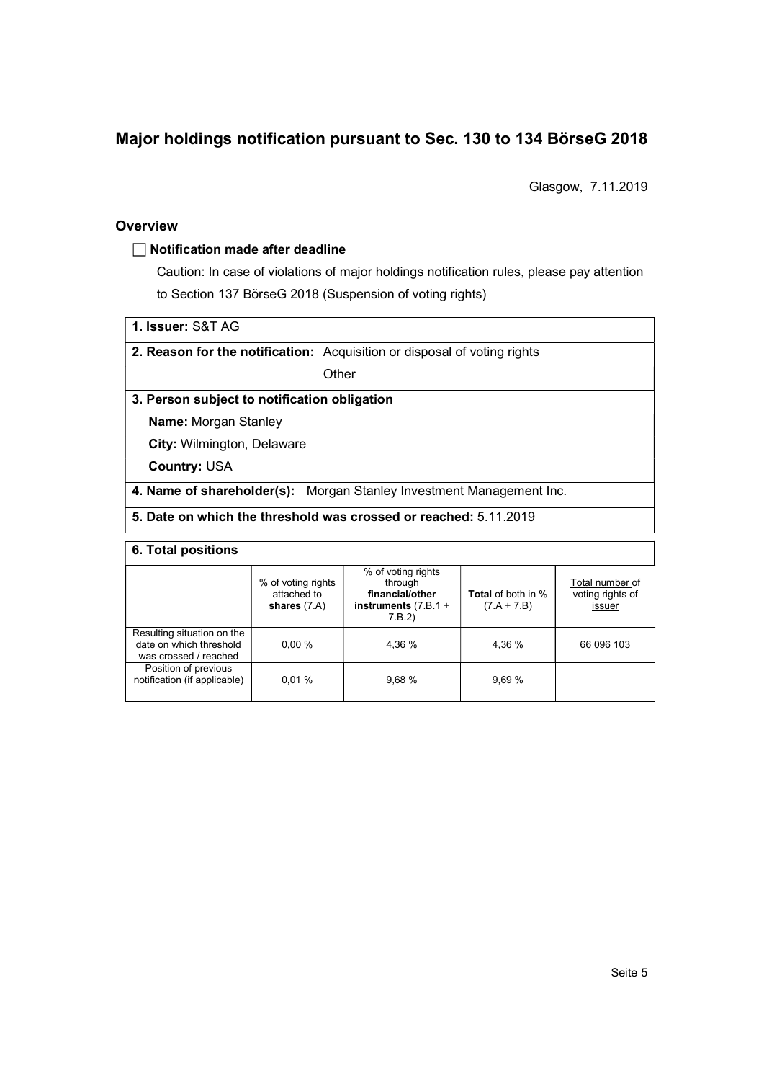## Major holdings notification pursuant to Sec. 130 to 134 BörseG 2018

Glasgow, 7.11.2019

#### **Overview**

#### $\Box$  Notification made after deadline

Caution: In case of violations of major holdings notification rules, please pay attention to Section 137 BörseG 2018 (Suspension of voting rights)

1. Issuer: S&T AG

2. Reason for the notification: Acquisition or disposal of voting rights

**Other** 

#### 3. Person subject to notification obligation

Name: Morgan Stanley

City: Wilmington, Delaware

Country: USA

4. Name of shareholder(s): Morgan Stanley Investment Management Inc.

### 5. Date on which the threshold was crossed or reached: 5.11.2019

#### 6. Total positions

|                                                                                | % of voting rights<br>attached to<br>shares $(7.A)$ | % of voting rights<br>through<br>financial/other<br>instruments $(7.B.1 +$<br>7.B.2 | <b>Total</b> of both in %<br>$(7.A + 7.B)$ | Total number of<br>voting rights of<br>issuer |
|--------------------------------------------------------------------------------|-----------------------------------------------------|-------------------------------------------------------------------------------------|--------------------------------------------|-----------------------------------------------|
| Resulting situation on the<br>date on which threshold<br>was crossed / reached | 0.00%                                               | 4.36 %                                                                              | 4.36 %                                     | 66 096 103                                    |
| Position of previous<br>notification (if applicable)                           | 0.01%                                               | 9.68%                                                                               | 9.69%                                      |                                               |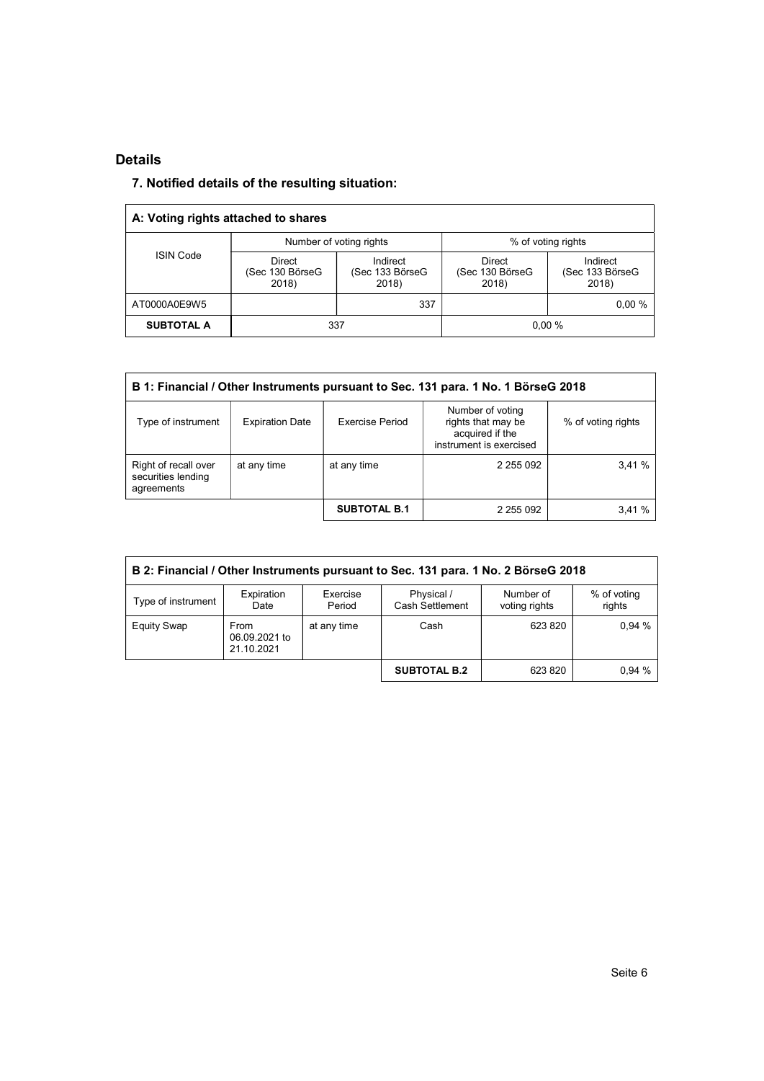#### Details

### 7. Notified details of the resulting situation:

| A: Voting rights attached to shares |                                           |                                      |                                    |                                      |  |
|-------------------------------------|-------------------------------------------|--------------------------------------|------------------------------------|--------------------------------------|--|
|                                     |                                           | Number of voting rights              | % of voting rights                 |                                      |  |
| <b>ISIN Code</b>                    | <b>Direct</b><br>(Sec 130 BörseG<br>2018) | Indirect<br>(Sec 133 BörseG<br>2018) | Direct<br>(Sec 130 BörseG<br>2018) | Indirect<br>(Sec 133 BörseG<br>2018) |  |
| AT0000A0E9W5                        |                                           | 337                                  |                                    | $0.00 \%$                            |  |
| <b>SUBTOTAL A</b>                   | 337                                       |                                      | 0.00%                              |                                      |  |

| B 1: Financial / Other Instruments pursuant to Sec. 131 para. 1 No. 1 BörseG 2018 |                        |                        |                                                                                      |                    |  |  |  |
|-----------------------------------------------------------------------------------|------------------------|------------------------|--------------------------------------------------------------------------------------|--------------------|--|--|--|
| Type of instrument                                                                | <b>Expiration Date</b> | <b>Exercise Period</b> | Number of voting<br>rights that may be<br>acquired if the<br>instrument is exercised | % of voting rights |  |  |  |
| Right of recall over<br>securities lending<br>agreements                          | at any time            | at any time            | 2 255 092                                                                            | 3,41%              |  |  |  |
|                                                                                   |                        | <b>SUBTOTAL B.1</b>    | 2 255 092                                                                            | 3,41%              |  |  |  |

| B 2: Financial / Other Instruments pursuant to Sec. 131 para. 1 No. 2 BörseG 2018 |                                     |                    |                               |                            |                       |  |
|-----------------------------------------------------------------------------------|-------------------------------------|--------------------|-------------------------------|----------------------------|-----------------------|--|
| Type of instrument                                                                | Expiration<br>Date                  | Exercise<br>Period | Physical /<br>Cash Settlement | Number of<br>voting rights | % of voting<br>rights |  |
| <b>Equity Swap</b>                                                                | From<br>06.09.2021 to<br>21.10.2021 | at any time        | Cash                          | 623 820                    | 0.94%                 |  |
|                                                                                   |                                     |                    | <b>SUBTOTAL B.2</b>           | 623 820                    | 0.94%                 |  |